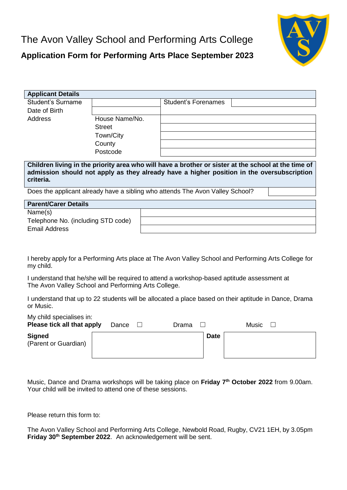The Avon Valley School and Performing Arts College



## **Application Form for Performing Arts Place September 2023**

| <b>Applicant Details</b>                                                                                                                                                                                                                                                                                                                                                                               |                |  |                     |  |  |  |
|--------------------------------------------------------------------------------------------------------------------------------------------------------------------------------------------------------------------------------------------------------------------------------------------------------------------------------------------------------------------------------------------------------|----------------|--|---------------------|--|--|--|
| Student's Surname                                                                                                                                                                                                                                                                                                                                                                                      |                |  | Student's Forenames |  |  |  |
| Date of Birth                                                                                                                                                                                                                                                                                                                                                                                          |                |  |                     |  |  |  |
| <b>Address</b>                                                                                                                                                                                                                                                                                                                                                                                         | House Name/No. |  |                     |  |  |  |
|                                                                                                                                                                                                                                                                                                                                                                                                        | <b>Street</b>  |  |                     |  |  |  |
|                                                                                                                                                                                                                                                                                                                                                                                                        | Town/City      |  |                     |  |  |  |
|                                                                                                                                                                                                                                                                                                                                                                                                        | County         |  |                     |  |  |  |
|                                                                                                                                                                                                                                                                                                                                                                                                        | Postcode       |  |                     |  |  |  |
| Children living in the priority area who will have a brother or sister at the school at the time of<br>admission should not apply as they already have a higher position in the oversubscription<br>criteria.<br>Does the applicant already have a sibling who attends The Avon Valley School?<br><b>Parent/Carer Details</b><br>Name(s)<br>Telephone No. (including STD code)<br><b>Email Address</b> |                |  |                     |  |  |  |
| I hereby apply for a Performing Arts place at The Avon Valley School and Performing Arts College for<br>my child.<br>I understand that he/she will be required to attend a workshop-based aptitude assessment at                                                                                                                                                                                       |                |  |                     |  |  |  |
| The Avon Valley School and Performing Arts College.                                                                                                                                                                                                                                                                                                                                                    |                |  |                     |  |  |  |

I understand that up to 22 students will be allocated a place based on their aptitude in Dance, Drama or Music.

| My child specialises in:<br>Please tick all that apply | Dance | Drama       | Music |
|--------------------------------------------------------|-------|-------------|-------|
| <b>Signed</b><br>(Parent or Guardian)                  |       | <b>Date</b> |       |

Music, Dance and Drama workshops will be taking place on **Friday 7 th October 2022** from 9.00am. Your child will be invited to attend one of these sessions.

Please return this form to:

The Avon Valley School and Performing Arts College, Newbold Road, Rugby, CV21 1EH, by 3.05pm **Friday 30 th September 2022**. An acknowledgement will be sent.